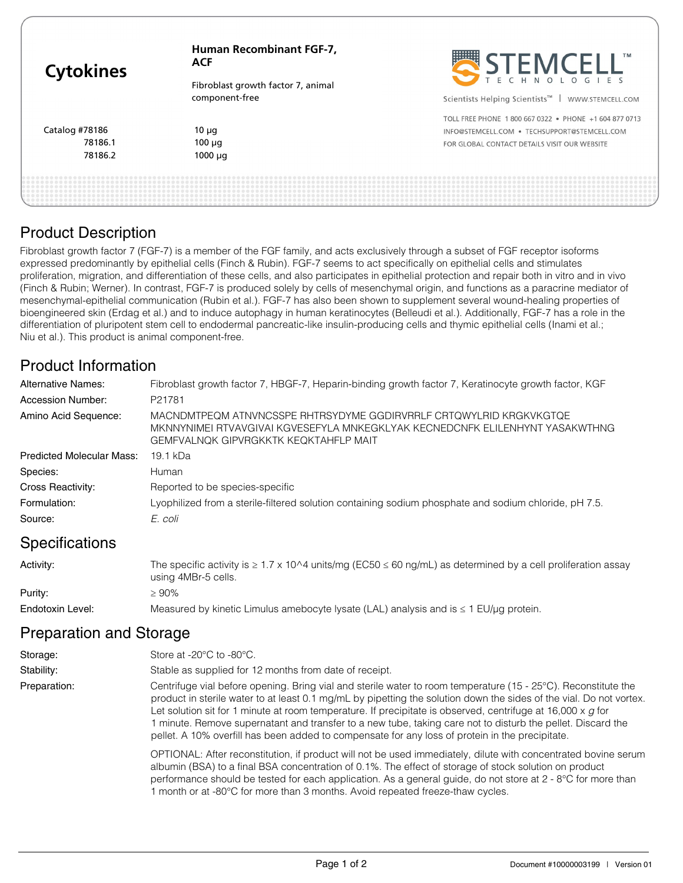| <b>Cytokines</b> | <b>Human Recombinant FGF-7,</b><br><b>ACF</b> | STEMCELL"                                                      |  |
|------------------|-----------------------------------------------|----------------------------------------------------------------|--|
|                  | Fibroblast growth factor 7, animal            |                                                                |  |
|                  | component-free                                | Scientists Helping Scientists <sup>™</sup><br>WWW.STEMCELL.COM |  |
|                  |                                               | TOLL FREE PHONE 1 800 667 0322 · PHONE +1 604 877 0713         |  |
| Catalog #78186   | $10 \mu q$                                    | INFO@STEMCELL.COM . TECHSUPPORT@STEMCELL.COM                   |  |
| 78186.1          | $100 \mu q$                                   | FOR GLOBAL CONTACT DETAILS VISIT OUR WEBSITE                   |  |
| 78186.2          | $1000 \mu q$                                  |                                                                |  |

# Product Description

Fibroblast growth factor 7 (FGF-7) is a member of the FGF family, and acts exclusively through a subset of FGF receptor isoforms expressed predominantly by epithelial cells (Finch & Rubin). FGF-7 seems to act specifically on epithelial cells and stimulates proliferation, migration, and differentiation of these cells, and also participates in epithelial protection and repair both in vitro and in vivo (Finch & Rubin; Werner). In contrast, FGF-7 is produced solely by cells of mesenchymal origin, and functions as a paracrine mediator of mesenchymal-epithelial communication (Rubin et al.). FGF-7 has also been shown to supplement several wound-healing properties of bioengineered skin (Erdag et al.) and to induce autophagy in human keratinocytes (Belleudi et al.). Additionally, FGF-7 has a role in the differentiation of pluripotent stem cell to endodermal pancreatic-like insulin-producing cells and thymic epithelial cells (Inami et al.; Niu et al.). This product is animal component-free.

## Product Information

| Alternative Names:               | Fibroblast growth factor 7, HBGF-7, Heparin-binding growth factor 7, Keratinocyte growth factor, KGF                                                                                               |
|----------------------------------|----------------------------------------------------------------------------------------------------------------------------------------------------------------------------------------------------|
| Accession Number:                | P21781                                                                                                                                                                                             |
| Amino Acid Sequence:             | MACNDMTPEQM ATNVNCSSPE RHTRSYDYME GGDIRVRRLF CRTQWYLRID KRGKVKGTQE<br>MKNNYNIMEI RTVAVGIVAI KGVESEFYLA MNKEGKLYAK KECNEDCNFK ELILENHYNT YASAKWTHNG<br><b>GEMFVALNOK GIPVRGKKTK KEQKTAHFLP MAIT</b> |
| <b>Predicted Molecular Mass:</b> | 19.1 kDa                                                                                                                                                                                           |
| Species:                         | Human                                                                                                                                                                                              |
| Cross Reactivity:                | Reported to be species-specific                                                                                                                                                                    |
| Formulation:                     | Lyophilized from a sterile-filtered solution containing sodium phosphate and sodium chloride, pH 7.5.                                                                                              |
| Source:                          | E. coli                                                                                                                                                                                            |

## **Specifications**

| Activity:        | The specific activity is $\geq 1.7 \times 10^{4}$ units/mg (EC50 $\leq 60$ ng/mL) as determined by a cell proliferation assay<br>using 4MBr-5 cells. |
|------------------|------------------------------------------------------------------------------------------------------------------------------------------------------|
| Purity:          | $\geq 90\%$                                                                                                                                          |
| Endotoxin Level: | Measured by kinetic Limulus amebocyte lysate (LAL) analysis and is $\leq 1$ EU/µg protein.                                                           |

## Preparation and Storage

| Storage:     | Store at $-20^{\circ}$ C to $-80^{\circ}$ C.                                                                                                                                                                                                                                                                                                                                                                                                                                                                                                                                  |
|--------------|-------------------------------------------------------------------------------------------------------------------------------------------------------------------------------------------------------------------------------------------------------------------------------------------------------------------------------------------------------------------------------------------------------------------------------------------------------------------------------------------------------------------------------------------------------------------------------|
| Stability:   | Stable as supplied for 12 months from date of receipt.                                                                                                                                                                                                                                                                                                                                                                                                                                                                                                                        |
| Preparation: | Centrifuge vial before opening. Bring vial and sterile water to room temperature (15 - 25°C). Reconstitute the<br>product in sterile water to at least 0.1 mg/mL by pipetting the solution down the sides of the vial. Do not vortex.<br>Let solution sit for 1 minute at room temperature. If precipitate is observed, centrifuge at 16,000 $\times$ g for<br>1 minute. Remove supernatant and transfer to a new tube, taking care not to disturb the pellet. Discard the<br>pellet. A 10% overfill has been added to compensate for any loss of protein in the precipitate. |
|              | OPTIONAL: After reconstitution, if product will not be used immediately, dilute with concentrated bovine serum<br>albumin (BSA) to a final BSA concentration of 0.1%. The effect of storage of stock solution on product<br>performance should be tested for each application. As a general guide, do not store at 2 - 8°C for more than<br>1 month or at -80°C for more than 3 months. Avoid repeated freeze-thaw cycles.                                                                                                                                                    |